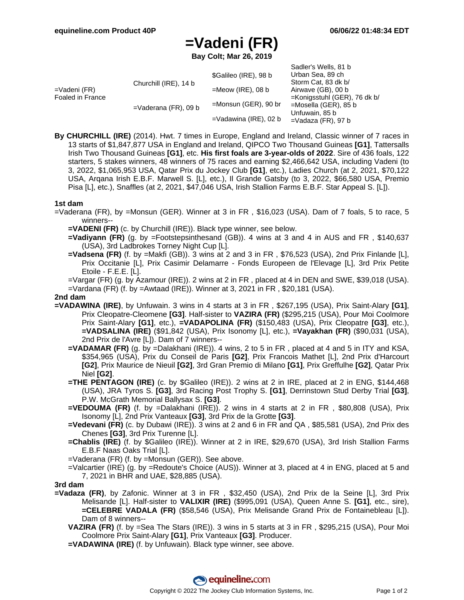Sadler's Wells, 81 b

# **=Vadeni (FR)**

**Bay Colt; Mar 26, 2019**

|                                  |                         |                                                                  | <b>Saulel S VVells, OT D</b>    |
|----------------------------------|-------------------------|------------------------------------------------------------------|---------------------------------|
|                                  |                         | \$Galileo (IRE), 98 b                                            | Urban Sea, 89 ch                |
| =Vadeni (FR)<br>Foaled in France | Churchill (IRE), 14 b   |                                                                  | Storm Cat, 83 dk b/             |
|                                  |                         | $=$ Meow (IRE), 08 b                                             | Airwave (GB), 00 b              |
|                                  |                         |                                                                  | $=$ Konigsstuhl (GER), 76 dk b/ |
|                                  | $=$ Vaderana (FR), 09 b | $=$ Monsun (GER), 90 br                                          | =Mosella (GER), 85 b            |
|                                  |                         | Unfuwain, 85 b<br>$=$ Vadawina (IRE), 02 b<br>=Vadaza (FR), 97 b |                                 |
|                                  |                         |                                                                  |                                 |

**By CHURCHILL (IRE)** (2014). Hwt. 7 times in Europe, England and Ireland, Classic winner of 7 races in 13 starts of \$1,847,877 USA in England and Ireland, QIPCO Two Thousand Guineas **[G1]**, Tattersalls Irish Two Thousand Guineas **[G1]**, etc. **His first foals are 3-year-olds of 2022**. Sire of 436 foals, 122 starters, 5 stakes winners, 48 winners of 75 races and earning \$2,466,642 USA, including Vadeni (to 3, 2022, \$1,065,953 USA, Qatar Prix du Jockey Club **[G1]**, etc.), Ladies Church (at 2, 2021, \$70,122 USA, Arqana Irish E.B.F. Marwell S. [L], etc.), Il Grande Gatsby (to 3, 2022, \$66,580 USA, Premio Pisa [L], etc.), Snaffles (at 2, 2021, \$47,046 USA, Irish Stallion Farms E.B.F. Star Appeal S. [L]).

## **1st dam**

- =Vaderana (FR), by =Monsun (GER). Winner at 3 in FR , \$16,023 (USA). Dam of 7 foals, 5 to race, 5 winners--
	- **=VADENI (FR)** (c. by Churchill (IRE)). Black type winner, see below.
	- **=Vadiyann (FR)** (g. by =Footstepsinthesand (GB)). 4 wins at 3 and 4 in AUS and FR , \$140,637 (USA), 3rd Ladbrokes Torney Night Cup [L].
	- **=Vadsena (FR)** (f. by =Makfi (GB)). 3 wins at 2 and 3 in FR , \$76,523 (USA), 2nd Prix Finlande [L], Prix Occitanie [L], Prix Casimir Delamarre - Fonds Europeen de l'Elevage [L], 3rd Prix Petite Etoile - F.E.E. [L].

=Vargar (FR) (g. by Azamour (IRE)). 2 wins at 2 in FR , placed at 4 in DEN and SWE, \$39,018 (USA). =Vardana (FR) (f. by =Awtaad (IRE)). Winner at 3, 2021 in FR , \$20,181 (USA).

#### **2nd dam**

- **=VADAWINA (IRE)**, by Unfuwain. 3 wins in 4 starts at 3 in FR , \$267,195 (USA), Prix Saint-Alary **[G1]**, Prix Cleopatre-Cleomene **[G3]**. Half-sister to **VAZIRA (FR)** (\$295,215 (USA), Pour Moi Coolmore Prix Saint-Alary **[G1]**, etc.), **=VADAPOLINA (FR)** (\$150,483 (USA), Prix Cleopatre **[G3]**, etc.), **=VADSALINA (IRE)** (\$91,842 (USA), Prix Isonomy [L], etc.), **=Vayakhan (FR)** (\$90,031 (USA), 2nd Prix de l'Avre [L]). Dam of 7 winners--
	- **=VADAMAR (FR)** (g. by =Dalakhani (IRE)). 4 wins, 2 to 5 in FR , placed at 4 and 5 in ITY and KSA, \$354,965 (USA), Prix du Conseil de Paris **[G2]**, Prix Francois Mathet [L], 2nd Prix d'Harcourt **[G2]**, Prix Maurice de Nieuil **[G2]**, 3rd Gran Premio di Milano **[G1]**, Prix Greffulhe **[G2]**, Qatar Prix Niel **[G2]**.
	- **=THE PENTAGON (IRE)** (c. by \$Galileo (IRE)). 2 wins at 2 in IRE, placed at 2 in ENG, \$144,468 (USA), JRA Tyros S. **[G3]**, 3rd Racing Post Trophy S. **[G1]**, Derrinstown Stud Derby Trial **[G3]**, P.W. McGrath Memorial Ballysax S. **[G3]**.
	- **=VEDOUMA (FR)** (f. by =Dalakhani (IRE)). 2 wins in 4 starts at 2 in FR , \$80,808 (USA), Prix Isonomy [L], 2nd Prix Vanteaux **[G3]**, 3rd Prix de la Grotte **[G3]**.
	- **=Vedevani (FR)** (c. by Dubawi (IRE)). 3 wins at 2 and 6 in FR and QA , \$85,581 (USA), 2nd Prix des Chenes **[G3]**, 3rd Prix Turenne [L].
	- **=Chablis (IRE)** (f. by \$Galileo (IRE)). Winner at 2 in IRE, \$29,670 (USA), 3rd Irish Stallion Farms E.B.F Naas Oaks Trial [L].
	- =Vaderana (FR) (f. by =Monsun (GER)). See above.
	- =Valcartier (IRE) (g. by =Redoute's Choice (AUS)). Winner at 3, placed at 4 in ENG, placed at 5 and 7, 2021 in BHR and UAE, \$28,885 (USA).

**3rd dam**

- **=Vadaza (FR)**, by Zafonic. Winner at 3 in FR , \$32,450 (USA), 2nd Prix de la Seine [L], 3rd Prix Melisande [L]. Half-sister to **VALIXIR (IRE)** (\$995,091 (USA), Queen Anne S. **[G1]**, etc., sire), **=CELEBRE VADALA (FR)** (\$58,546 (USA), Prix Melisande Grand Prix de Fontainebleau [L]). Dam of 8 winners--
	- **VAZIRA (FR)** (f. by =Sea The Stars (IRE)). 3 wins in 5 starts at 3 in FR , \$295,215 (USA), Pour Moi Coolmore Prix Saint-Alary **[G1]**, Prix Vanteaux **[G3]**. Producer.
	- **=VADAWINA (IRE)** (f. by Unfuwain). Black type winner, see above.